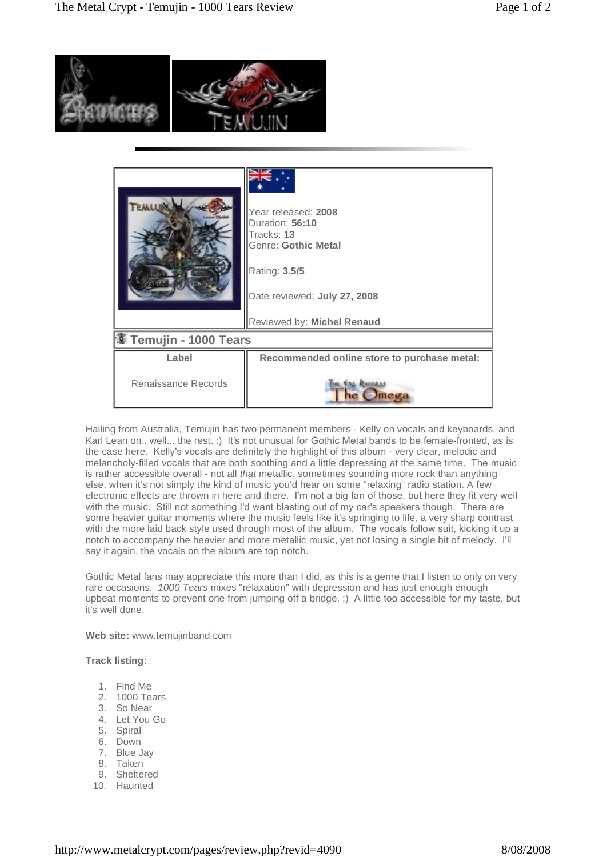

|                                   | Year released: 2008<br>Duration: 56:10<br>Tracks: 13<br>Genre: Gothic Metal<br>Rating: 3.5/5<br>Date reviewed: July 27, 2008<br>Reviewed by: Michel Renaud |
|-----------------------------------|------------------------------------------------------------------------------------------------------------------------------------------------------------|
| <sup>③</sup> Temujin - 1000 Tears |                                                                                                                                                            |
| Label                             | Recommended online store to purchase metal:                                                                                                                |
| Renaissance Records               | <b><i><u>ENG RECORNS</u></i></b>                                                                                                                           |

Hailing from Australia, Temujin has two permanent members - Kelly on vocals and keyboards, and Karl Lean on.. well... the rest. :) It's not unusual for Gothic Metal bands to be female-fronted, as is the case here. Kelly's vocals are definitely the highlight of this album - very clear, melodic and melancholy-filled vocals that are both soothing and a little depressing at the same time. The music is rather accessible overall - not all that metallic, sometimes sounding more rock than anything else, when it's not simply the kind of music you'd hear on some "relaxing" radio station. A few electronic effects are thrown in here and there. I'm not a big fan of those, but here they fit very well with the music. Still not something I'd want blasting out of my car's speakers though. There are some heavier guitar moments where the music feels like it's springing to life, a very sharp contrast with the more laid back style used through most of the album. The vocals follow suit, kicking it up a notch to accompany the heavier and more metallic music, yet not losing a single bit of melody. I'll say it again, the vocals on the album are top notch.

Gothic Metal fans may appreciate this more than I did, as this is a genre that I listen to only on very rare occasions. 1000 Tears mixes "relaxation" with depression and has just enough enough upbeat moments to prevent one from jumping off a bridge. ;) A little too accessible for my taste, but it's well done.

**Web site:** [www.temujinband.com](http://www.temujinband.com)

**Track listing:**

- 1. Find Me
- 2. 1000 Tears
- 3. So Near
- 4. Let You Go
- 5. Spiral
- 6. Down
- 7. Blue Jay
- 8. Taken
- 9. Sheltered
- 10. Haunted